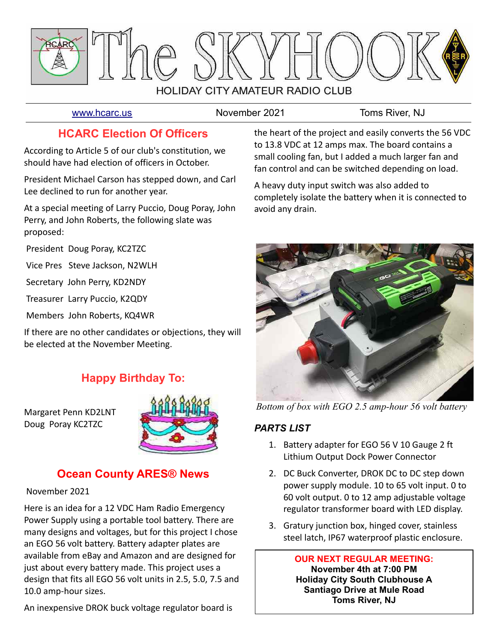

[www.hcarc.us](http://www.hcarc.us/) **November 2021** Toms River, NJ

# **HCARC Election Of Officers**

According to Article 5 of our club's constitution, we should have had election of officers in October.

President Michael Carson has stepped down, and Carl Lee declined to run for another year.

At a special meeting of Larry Puccio, Doug Poray, John Perry, and John Roberts, the following slate was proposed:

President Doug Poray, KC2TZC

Vice Pres Steve Jackson, N2WLH

Secretary John Perry, KD2NDY

Treasurer Larry Puccio, K2QDY

Members John Roberts, KQ4WR

If there are no other candidates or objections, they will be elected at the November Meeting.

# **Happy Birthday To:**

Margaret Penn KD2LNT Doug Poray KC2TZC



# **Ocean County ARES® News**

### November 2021

Here is an idea for a 12 VDC Ham Radio Emergency Power Supply using a portable tool battery. There are many designs and voltages, but for this project I chose an EGO 56 volt battery. Battery adapter plates are available from eBay and Amazon and are designed for just about every battery made. This project uses a design that fits all EGO 56 volt units in 2.5, 5.0, 7.5 and 10.0 amp-hour sizes.

An inexpensive DROK buck voltage regulator board is

the heart of the project and easily converts the 56 VDC to 13.8 VDC at 12 amps max. The board contains a small cooling fan, but I added a much larger fan and fan control and can be switched depending on load.

A heavy duty input switch was also added to completely isolate the battery when it is connected to avoid any drain.



*Bottom of box with EGO 2.5 amp-hour 56 volt battery*

## *PARTS LIST*

- 1. Battery adapter for EGO 56 V 10 Gauge 2 ft Lithium Output Dock Power Connector
- 2. DC Buck Converter, DROK DC to DC step down power supply module. 10 to 65 volt input. 0 to 60 volt output. 0 to 12 amp adjustable voltage regulator transformer board with LED display.
- 3. Gratury junction box, hinged cover, stainless steel latch, IP67 waterproof plastic enclosure.

**OUR NEXT REGULAR MEETING: November 4th at 7:00 PM Holiday City South Clubhouse A Santiago Drive at Mule Road Toms River, NJ**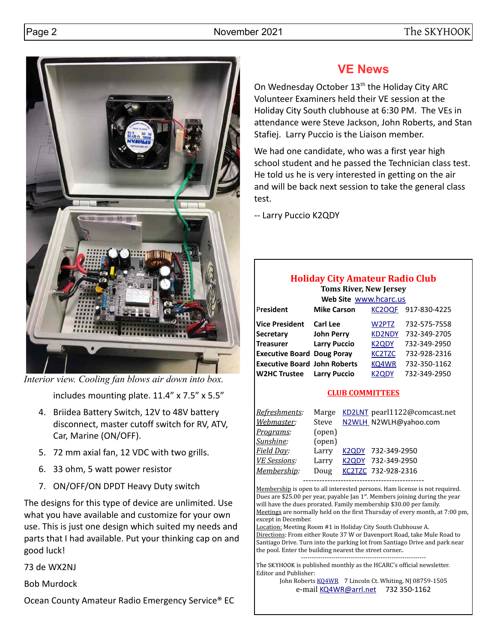

*Interior view. Cooling fan blows air down into box.*

includes mounting plate. 11.4" x 7.5" x 5.5"

- 4. Briidea Battery Switch, 12V to 48V battery disconnect, master cutoff switch for RV, ATV, Car, Marine (ON/OFF).
- 5. 72 mm axial fan, 12 VDC with two grills.
- 6. 33 ohm, 5 watt power resistor
- 7. ON/OFF/ON DPDT Heavy Duty switch

The designs for this type of device are unlimited. Use what you have available and customize for your own use. This is just one design which suited my needs and parts that I had available. Put your thinking cap on and good luck!

73 de WX2NJ

Bob Murdock

Ocean County Amateur Radio Emergency Service® EC

# **VE News**

On Wednesday October 13<sup>th</sup> the Holiday City ARC Volunteer Examiners held their VE session at the Holiday City South clubhouse at 6:30 PM. The VEs in attendance were Steve Jackson, John Roberts, and Stan Stafiej. Larry Puccio is the Liaison member.

We had one candidate, who was a first year high school student and he passed the Technician class test. He told us he is very interested in getting on the air and will be back next session to take the general class test.

-- Larry Puccio K2QDY

# **Holiday City Amateur Radio Club**

**Toms River, New Jersey Web Site** [www.hcarc.us](http://www.hcarc.us/)

|                                     | <b>VVCD SILE VVVVVVIILAIL.US</b> |                    |              |
|-------------------------------------|----------------------------------|--------------------|--------------|
| President                           | <b>Mike Carson</b>               | <b>KC2OQF</b>      | 917-830-4225 |
| Vice President                      | <b>Carl Lee</b>                  | W2PTZ              | 732-575-7558 |
| <b>Secretary</b>                    | <b>John Perry</b>                | <b>KD2NDY</b>      | 732-349-2705 |
| <b>Treasurer</b>                    | <b>Larry Puccio</b>              | <b>K2QDY</b>       | 732-349-2950 |
| <b>Executive Board Doug Poray</b>   |                                  | <b>KC2TZC</b>      | 732-928-2316 |
| <b>Executive Board John Roberts</b> |                                  | KQ4WR              | 732-350-1162 |
| <b>W2HC Trustee</b>                 | <b>Larry Puccio</b>              | K <sub>2</sub> ODY | 732-349-2950 |
|                                     |                                  |                    |              |

### **CLUB COMMITTEES**

| Refreshments:       | Marge  | KD2LNT pearl1122@comcast.net |
|---------------------|--------|------------------------------|
| Webmaster:          | Steve  | N2WLH_N2WLH@yahoo.com        |
| Programs:           | (open) |                              |
| Sunshine:           | (open) |                              |
| Field Day:          | Larry  | K2QDY 732-349-2950           |
| <b>VE Sessions:</b> | Larry  | K2QDY 732-349-2950           |
| Membership:         | Doug   | KC2TZC 732-928-2316          |
|                     |        |                              |

Membership is open to all interested persons. Ham license is not required. Dues are \$25.00 per year, payable Jan  $1<sup>st</sup>$ . Members joining during the year will have the dues prorated. Family membership \$30.00 per family. Meetings are normally held on the first Thursday of every month, at 7:00 pm, except in December.

Location: Meeting Room #1 in Holiday City South Clubhouse A. Directions: From either Route 37 W or Davenport Road, take Mule Road to Santiago Drive. Turn into the parking lot from Santiago Drive and park near the pool. Enter the building nearest the street corner..

---------------------------------------------------------- The SKYHOOK is published monthly as the HCARC's official newsletter. Editor and Publisher:

> John Roberts [KQ4WR](mailto:kq4wr@arrl.net) 7 Lincoln Ct. Whiting, NJ 08759-1505 e-mail [KQ4WR@arrl.net](mailto:KQ4WR@arrl.net) 732 350-1162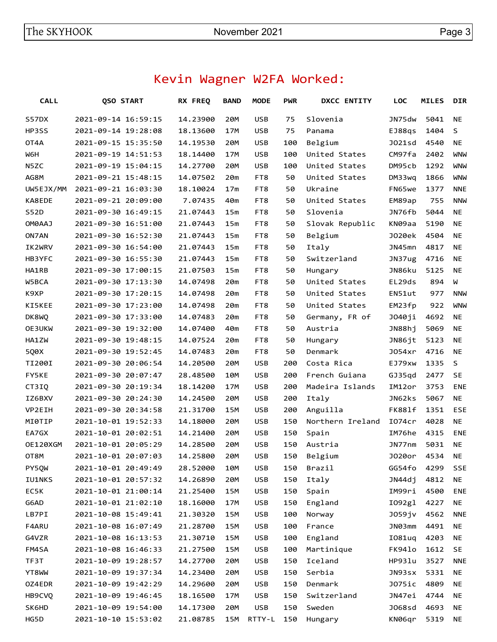# Kevin Wagner W2FA Worked:

| <b>CALL</b>  | QSO START           | RX FREQ  |         | <b>BAND</b> | <b>MODE</b> | <b>PWR</b> | <b>DXCC ENTITY</b> | <b>LOC</b>         | <b>MILES</b>   | <b>DIR</b> |
|--------------|---------------------|----------|---------|-------------|-------------|------------|--------------------|--------------------|----------------|------------|
| S57DX        | 2021-09-14 16:59:15 | 14.23900 |         | 20M         | <b>USB</b>  | 75         | Slovenia           | JN75dw             | 5041           | <b>NE</b>  |
| HP3SS        | 2021-09-14 19:28:08 | 18.13600 |         | 17M         | <b>USB</b>  | 75         | Panama             | EJ88qs             | 1404           | S          |
| OT4A         | 2021-09-15 15:35:50 | 14.19530 |         | 20M         | USB         | 100        | Belgium            | J021sd             | 4540           | ΝE         |
| W6H          | 2021-09-19 14:51:53 | 18.14400 |         | 17M         | USB         | 100        | United States      | CM97fa             | 2402           | <b>WNW</b> |
| N5ZC         | 2021-09-19 15:04:15 | 14.27700 |         | 20M         | USB         | 100        | United States      | DM95cb             | 1292           | <b>WNW</b> |
| AG8M         | 2021-09-21 15:48:15 | 14.07502 |         | 20m         | FT8         | 50         | United States      | DM33wq             | 1866           | <b>WNW</b> |
| UW5EJX/MM    | 2021-09-21 16:03:30 | 18.10024 |         | 17m         | FT8         | 50         | Ukraine            | FN65 <sub>we</sub> | 1377           | <b>NNE</b> |
| KA8EDE       | 2021-09-21 20:09:00 |          | 7.07435 | 40m         | FT8         | 50         | United States      | EM89ap             | 755            | <b>NNW</b> |
| S52D         | 2021-09-30 16:49:15 | 21.07443 |         | 15m         | FT8         | 50         | Slovenia           | JN76fb             | 5044           | ΝE         |
| LAA6MO       | 2021-09-30 16:51:00 | 21.07443 |         | 15m         | FT8         | 50         | Slovak Republic    | KN09aa             | 5190           | <b>NE</b>  |
| ON7AN        | 2021-09-30 16:52:30 | 21.07443 |         | 15m         | FT8         | 50         | Belgium            | J020ek             | 4504           | ΝE         |
| IK2WRV       | 2021-09-30 16:54:00 | 21.07443 |         | 15m         | FT8         | 50         | Italy              | JN45mn             | 4817           | ΝE         |
| HB3YFC       | 2021-09-30 16:55:30 | 21.07443 |         | 15m         | FT8         | 50         | Switzerland        | JN37ug             | 4716           | ΝE         |
| HA1RB        | 2021-09-30 17:00:15 | 21.07503 |         | 15m         | FT8         | 50         | Hungary            | JN86ku             | 5125           | <b>NE</b>  |
| W5BCA        | 2021-09-30 17:13:30 | 14.07498 |         | 20m         | FT8         | 50         | United States      | EL29ds             | 894            | W          |
| K9XP         | 2021-09-30 17:20:15 | 14.07498 |         | 20m         | FT8         | 50         | United States      | EN51ut             | 977            | <b>NNW</b> |
| KI5KEE       | 2021-09-30 17:23:00 | 14.07498 |         | 20m         | FT8         | 50         | United States      | EM23fp             | 922            | <b>WNW</b> |
| DK8WQ        | 2021-09-30 17:33:00 | 14.07483 |         | 20m         | FT8         | 50         | Germany, FR of     | J040ji             | 4692           | ΝE         |
| OE3UKW       | 2021-09-30 19:32:00 | 14.07400 |         | 40m         | FT8         | 50         | Austria            | JN88hj             | 5069           | ΝE         |
| HA1ZW        | 2021-09-30 19:48:15 | 14.07524 |         | 20m         | FT8         | 50         | Hungary            | JN86jt             | 5123           | ΝE         |
| 5Q0X         | 2021-09-30 19:52:45 | 14.07483 |         | 20m         | FT8         | 50         | Denmark            | J054xr             | 4716           | NE.        |
| TI200I       | 2021-09-30 20:06:54 | 14.20500 |         | 20M         | USB         | 200        | Costa Rica         | EJ79xw             | 1335           | S          |
| <b>FY5KE</b> | 2021-09-30 20:07:47 | 28,48500 |         | 10M         | USB         | 200        | French Guiana      | GJ35gd             | 2477           | SE         |
| CT3IQ        | 2021-09-30 20:19:34 | 18.14200 |         | <b>17M</b>  | <b>USB</b>  | 200        | Madeira Islands    | IM12or             | 3753           | <b>ENE</b> |
| IZ6BXV       | 2021-09-30 20:24:30 | 14.24500 |         | 20M         | USB         | 200        | Italy              | JN62ks             | 5067           | <b>NE</b>  |
| VP2EIH       | 2021-09-30 20:34:58 | 21.31700 |         | <b>15M</b>  | USB         | 200        | Anguilla           | FK881f             | 1351           | <b>ESE</b> |
| MI0TIP       | 2021-10-01 19:52:33 | 14.18000 |         | 20M         | USB         | 150        | Northern Ireland   | 1074 <sub>cr</sub> | 4028           | <b>NE</b>  |
| EA7GX        | 2021-10-01 20:02:51 | 14.21400 |         | 20M         | USB         | 150        | Spain              | IM76he             | 4315           | <b>ENE</b> |
| OE120XGM     | 2021-10-01 20:05:29 | 14.28500 |         | 20M         | USB         | 150        | Austria            | JN77nm             | 5031           | <b>NE</b>  |
| OT8M         | 2021-10-01 20:07:03 | 14.25800 |         | 20M         | USB         | 150        | Belgium            | J020or             | 4534           | NE         |
| PY50W        | 2021-10-01 20:49:49 | 28.52000 |         | 10M         | <b>USB</b>  | 150        | Brazil             | GG54fo 4299        |                | <b>SSE</b> |
| IU1NKS       | 2021-10-01 20:57:32 | 14.26890 |         | 20M         | <b>USB</b>  | 150        | Italy              | JN44dj             | 4812           | NE         |
| EC5K         | 2021-10-01 21:00:14 | 21.25400 |         | 15M         | <b>USB</b>  | 150        | Spain              | IM99ri             | 4500           | <b>ENE</b> |
| G6AD         | 2021-10-01 21:02:10 | 18.16000 |         | 17M         | <b>USB</b>  | 150        | England            | 1092g1             | 4227           | NE         |
| LB7PI        | 2021-10-08 15:49:41 | 21.30320 |         | 15M         | <b>USB</b>  | 100        | Norway             | JO59jv             | 4562           | <b>NNE</b> |
| F4ARU        | 2021-10-08 16:07:49 | 21.28700 |         | 15M         | <b>USB</b>  | 100        | France             | JN03mm             | 4491           | NE         |
| G4VZR        | 2021-10-08 16:13:53 | 21.30710 |         | 15M         | <b>USB</b>  | 100        | England            | I081uq             | 4203           | NE         |
| FM4SA        | 2021-10-08 16:46:33 | 21.27500 |         | 15M         | <b>USB</b>  | 100        | Martinique         | FK94lo             | 1612           | <b>SE</b>  |
| TF3T         | 2021-10-09 19:28:57 | 14.27700 |         | 20M         | <b>USB</b>  | 150        | Iceland            | HP93lu             | 3527           | <b>NNE</b> |
| YT8WW        | 2021-10-09 19:37:34 | 14.23400 |         | 20M         | <b>USB</b>  | 150        | Serbia             | JN93sx             | 5331           | NE         |
| OZ4EDR       | 2021-10-09 19:42:29 | 14.29600 |         | 20M         | <b>USB</b>  | 150        | Denmark            | J075ic             | 4809           | NE         |
| HB9CVQ       | 2021-10-09 19:46:45 | 18.16500 |         | 17M         | USB         | 150        | Switzerland        | JN47ei             | 4744           | <b>NE</b>  |
| SK6HD        | 2021-10-09 19:54:00 | 14.17300 |         | 20M         | <b>USB</b>  | 150        | Sweden             | J068sd             | 4693           | ΝE         |
| HG5D         | 2021-10-10 15:53:02 | 21.08785 |         | 15M         | RTTY-L 150  |            | Hungary            |                    | KN06qr 5319 NE |            |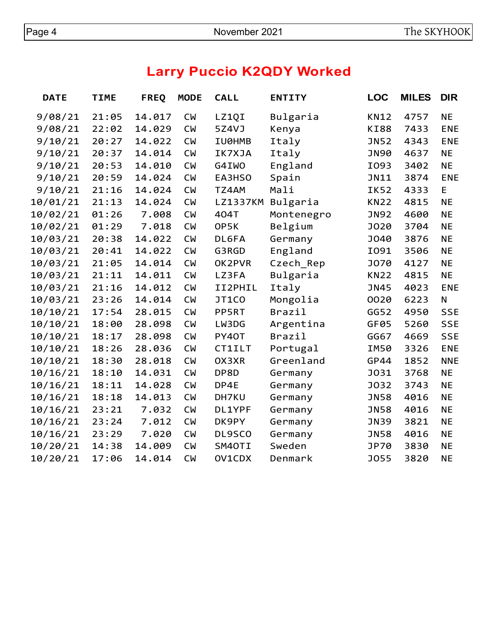# **Larry Puccio K2QDY Worked**

| <b>DATE</b> | <b>TIME</b> | <b>FREQ</b> | <b>MODE</b> | <b>CALL</b>   | <b>ENTITY</b> | <b>LOC</b>  | <b>MILES</b> | <b>DIR</b>   |
|-------------|-------------|-------------|-------------|---------------|---------------|-------------|--------------|--------------|
| 9/08/21     | 21:05       | 14.017      | <b>CW</b>   | LZ1QI         | Bulgaria      | <b>KN12</b> | 4757         | <b>NE</b>    |
| 9/08/21     | 22:02       | 14.029      | <b>CW</b>   | 5Z4VJ         | Kenya         | <b>KI88</b> | 7433         | <b>ENE</b>   |
| 9/10/21     | 20:27       | 14.022      | <b>CW</b>   | IU0HMB        | Italy         | <b>JN52</b> | 4343         | <b>ENE</b>   |
| 9/10/21     | 20:37       | 14.014      | <b>CW</b>   | IK7XJA        | Italy         | <b>JN90</b> | 4637         | <b>NE</b>    |
| 9/10/21     | 20:53       | 14.010      | <b>CW</b>   | G4IWO         | England       | I093        | 3402         | <b>NE</b>    |
| 9/10/21     | 20:59       | 14.024      | <b>CW</b>   | EA3HSO        | Spain         | <b>JN11</b> | 3874         | <b>ENE</b>   |
| 9/10/21     | 21:16       | 14.024      | <b>CW</b>   | TZ4AM         | Mali          | <b>IK52</b> | 4333         | E            |
| 10/01/21    | 21:13       | 14.024      | <b>CW</b>   | LZ1337KM      | Bulgaria      | <b>KN22</b> | 4815         | <b>NE</b>    |
| 10/02/21    | 01:26       | 7.008       | <b>CW</b>   | 404T          | Montenegro    | <b>JN92</b> | 4600         | <b>NE</b>    |
| 10/02/21    | 01:29       | 7.018       | <b>CW</b>   | OP5K          | Belgium       | <b>J020</b> | 3704         | <b>NE</b>    |
| 10/03/21    | 20:38       | 14.022      | <b>CW</b>   | DL6FA         | Germany       | J040        | 3876         | <b>NE</b>    |
| 10/03/21    | 20:41       | 14.022      | <b>CW</b>   | G3RGD         | England       | I091        | 3506         | <b>NE</b>    |
| 10/03/21    | 21:05       | 14.014      | <b>CW</b>   | OK2PVR        | Czech_Rep     | <b>J070</b> | 4127         | <b>NE</b>    |
| 10/03/21    | 21:11       | 14.011      | <b>CM</b>   | LZ3FA         | Bulgaria      | <b>KN22</b> | 4815         | <b>NE</b>    |
| 10/03/21    | 21:16       | 14.012      | <b>CW</b>   | II2PHIL       | Italy         | <b>JN45</b> | 4023         | <b>ENE</b>   |
| 10/03/21    | 23:26       | 14.014      | <b>CW</b>   | JT1CO         | Mongolia      | 0020        | 6223         | $\mathsf{N}$ |
| 10/10/21    | 17:54       | 28.015      | <b>CW</b>   | PP5RT         | Brazil        | GG52        | 4950         | <b>SSE</b>   |
| 10/10/21    | 18:00       | 28.098      | <b>CW</b>   | LW3DG         | Argentina     | GF05        | 5260         | <b>SSE</b>   |
| 10/10/21    | 18:17       | 28.098      | <b>CM</b>   | PY40T         | Brazil        | GG67        | 4669         | <b>SSE</b>   |
| 10/10/21    | 18:26       | 28.036      | <b>CW</b>   | <b>CT1ILT</b> | Portugal      | IM50        | 3326         | <b>ENE</b>   |
| 10/10/21    | 18:30       | 28.018      | <b>CW</b>   | OX3XR         | Greenland     | GP44        | 1852         | <b>NNE</b>   |
| 10/16/21    | 18:10       | 14.031      | <b>CW</b>   | DP8D          | Germany       | <b>J031</b> | 3768         | <b>NE</b>    |
| 10/16/21    | 18:11       | 14.028      | <b>CM</b>   | DP4E          | Germany       | <b>J032</b> | 3743         | <b>NE</b>    |
| 10/16/21    | 18:18       | 14.013      | <b>CW</b>   | DH7KU         | Germany       | <b>JN58</b> | 4016         | <b>NE</b>    |
| 10/16/21    | 23:21       | 7.032       | <b>CW</b>   | DL1YPF        | Germany       | <b>JN58</b> | 4016         | <b>NE</b>    |
| 10/16/21    | 23:24       | 7.012       | <b>CM</b>   | DK9PY         | Germany       | <b>JN39</b> | 3821         | <b>NE</b>    |
| 10/16/21    | 23:29       | 7.020       | <b>CW</b>   | DL9SCO        | Germany       | <b>JN58</b> | 4016         | <b>NE</b>    |
| 10/20/21    | 14:38       | 14.009      | <b>CM</b>   | SM4OTI        | Sweden        | <b>JP70</b> | 3830         | <b>NE</b>    |
| 10/20/21    | 17:06       | 14.014      | <b>CW</b>   | OV1CDX        | Denmark       | <b>J055</b> | 3820         | <b>NE</b>    |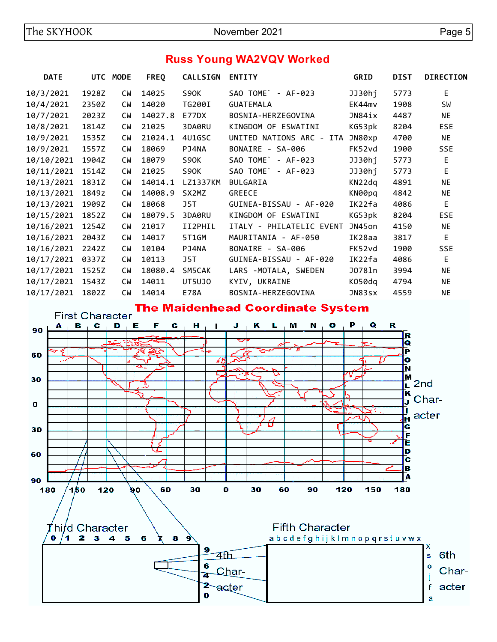# **Russ Young WA2VQV Worked**

| <b>DATE</b> |       | UTC MODE  | <b>FREQ</b> | <b>CALLSIGN</b> | <b>ENTITY</b>            | <b>GRID</b> | <b>DIST</b> | <b>DIRECTION</b> |
|-------------|-------|-----------|-------------|-----------------|--------------------------|-------------|-------------|------------------|
| 10/3/2021   | 1928Z | <b>CW</b> | 14025       | S90K            | SAO TOME` - AF-023       | JJ30hj      | 5773        | E                |
| 10/4/2021   | 2350Z | <b>CW</b> | 14020       | TG200I          | <b>GUATEMALA</b>         | EK44mv      | 1908        | SW               |
| 10/7/2021   | 2023Z | <b>CW</b> | 14027.8     | <b>E77DX</b>    | BOSNIA-HERZEGOVINA       | JN84ix      | 4487        | <b>NE</b>        |
| 10/8/2021   | 1814Z | <b>CW</b> | 21025       | 3DA0RU          | KINGDOM OF ESWATINI      | KG53pk      | 8204        | <b>ESE</b>       |
| 10/9/2021   | 1535Z | <b>CW</b> | 21024.1     | 4U1GSC          | UNITED NATIONS ARC - ITA | JN80xp      | 4700        | <b>NE</b>        |
| 10/9/2021   | 1557Z | <b>CW</b> | 18069       | PJ4NA           | BONAIRE - SA-006         | FK52vd      | 1900        | <b>SSE</b>       |
| 10/10/2021  | 1904Z | <b>CM</b> | 18079       | S90K            | SAO TOME`<br>- AF-023    | JJ30hj      | 5773        | E                |
| 10/11/2021  | 1514Z | <b>CW</b> | 21025       | S90K            | SAO TOME<br>$- AF-023$   | JJ30hj      | 5773        | F                |
| 10/13/2021  | 1831Z | <b>CW</b> | 14014.1     | LZ1337KM        | <b>BULGARIA</b>          | KN22dq      | 4891        | <b>NE</b>        |
| 10/13/2021  | 1849z | <b>CW</b> | 14008.9     | SX2MZ           | <b>GREECE</b>            | KN00pg      | 4842        | <b>NE</b>        |
| 10/13/2021  | 1909Z | <b>CW</b> | 18068       | J5T             | GUINEA-BISSAU - AF-020   | IK22fa      | 4086        | E                |
| 10/15/2021  | 1852Z | <b>CW</b> | 18079.5     | 3DA0RU          | KINGDOM OF ESWATINI      | KG53pk      | 8204        | <b>ESE</b>       |
| 10/16/2021  | 1254Z | <b>CW</b> | 21017       | II2PHIL         | ITALY - PHILATELIC EVENT | JN45on      | 4150        | <b>NE</b>        |
| 10/16/2021  | 2043Z | <b>CW</b> | 14017       | 5T1GM           | MAURITANIA - AF-050      | IK28aa      | 3817        | E                |
| 10/16/2021  | 2242Z | <b>CW</b> | 10104       | PJ4NA           | BONAIRE - SA-006         | FK52vd      | 1900        | <b>SSE</b>       |
| 10/17/2021  | 0337Z | <b>CW</b> | 10113       | J5T             | GUINEA-BISSAU - AF-020   | IK22fa      | 4086        | E                |
| 10/17/2021  | 1525Z | <b>CW</b> | 18080.4     | SM5CAK          | LARS -MOTALA, SWEDEN     | J078ln      | 3994        | ΝE               |
| 10/17/2021  | 1543Z | <b>CW</b> | 14011       | UT5UJ0          | KYIV, UKRAINE            | K050dq      | 4794        | ΝE               |
| 10/17/2021  | 1802Z | <b>CW</b> | 14014       | E78A            | BOSNIA-HERZEGOVINA       | JN83sx      | 4559        | <b>NE</b>        |

### **The Maidenhead Coordinate System**

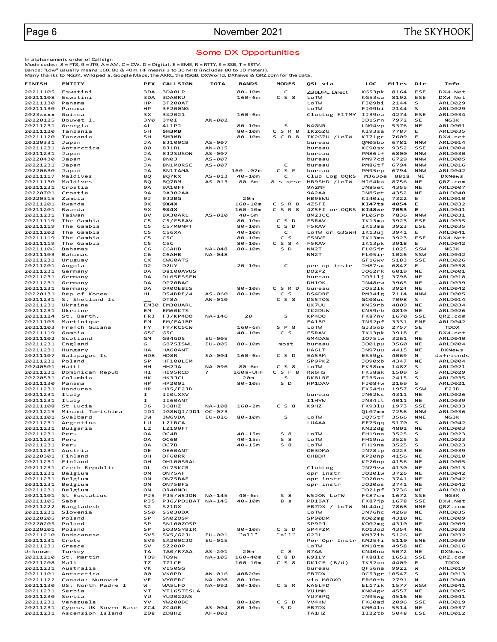### Some DX Opportunities

In alphanumeric order of Callsign<br>Mode codes: 8 = FT8, 9 = JT9, A = AM, C = CW, D = Digital, E = EME, R = RTTY, S = SSB, T = SSTV.<br>Bands: "Low" usually means 160, 80 & 40m. HF means 3 to 30 MHz (includes 80 to 10 meters).<br>

| FINISH               | <b>ENTITY</b>                                | <b>PFX</b>             | <b>CALLSIGN</b>                | <b>IOTA</b>        | <b>BANDS</b>             | <b>MODES</b>          | QSL via                       | LOC                    | Miles        | Dir                      | Info                      |
|----------------------|----------------------------------------------|------------------------|--------------------------------|--------------------|--------------------------|-----------------------|-------------------------------|------------------------|--------------|--------------------------|---------------------------|
| 20211105             | Eswatini                                     | 3DA                    | 3DA0LP                         |                    | $80 - 10m$               | C                     | ZS6DPL Direct                 | KG53pk                 | 8164         | ESE                      | DXW.Net                   |
| 20211108             | Eswatini                                     | 3DA                    | 3DA0RU                         |                    | $160 - 6m$               | $C_S8$                | LoTW                          | KG53sa                 | 8192         | ESE                      | DXW Net                   |
| 20211130             | Panama                                       | HP                     | 3F200AT                        |                    |                          |                       | LoTW                          | FJ09bi                 | 2144         | s                        | ARLD029                   |
| 20211130             | Panama                                       | HP                     | 3F200NG                        |                    |                          |                       | LoTW                          | FJ09bi                 | 2144         | s                        | ARLD029                   |
| 2023xxxx<br>20220125 | Guinea<br>Bouvet I.                          | зx<br>3Y0              | 3X2021<br>3Y0I                 | AN-002             | $160 - 6m$               |                       | ClubLog F1TMY IJ39ea          | JD15rn                 | 4274<br>7972 | ESE<br><b>SE</b>         | ARLD034<br>NG3K           |
| 20211231             | Georgia                                      | 4L                     | 4L1PJ                          |                    | $80 - 10m$               | S                     | N4GNR                         | LN04vp                 | 5376         | <b>NE</b>                | ARLD001                   |
| 20211120             | Tanzania                                     | 5H                     | <b>5H3MB</b>                   |                    | $80 - 10m$               | CSR8                  | IK2GZU                        | KI93sa                 | 7787         | E.                       | ARLD035                   |
| 20211120             | Tanzania                                     | 5H                     | <b>5H3MB</b>                   |                    | $80 - 10m$               | S C R 8               | IK2GZU / LOTW                 | KI71gc                 | 7609         | Е                        | DXW.net                   |
| 20220331             | Japan                                        | JA                     | 8J100CB                        | $AS - 007$         |                          |                       | bureau                        | QM05bo                 | 6781         | <b>NNW</b>               | ARLD014                   |
| 20211231             | Antarctica                                   | 00                     | 8J1RL                          | AN-015             |                          |                       | bureau                        | KC90sx                 | 9352         | SSE                      | ARLD004                   |
| 20211231<br>20220430 | Japan<br>Japan                               | JA<br><b>JA</b>        | 8J2SUSON<br>8N0J               | AS-007<br>AS-007   |                          |                       | bureau<br>bureau              | PM86tf<br>PM97cd       | 6800<br>6729 | <b>NNW</b><br><b>NNW</b> | ARLD030<br>ARLD005        |
| 20221231             | Japan                                        | <b>JA</b>              | 8N1MORSE                       | $AS - 007$         |                          | C                     | bureau                        | PM86tf                 | 6794         | <b>NNW</b>               | ARLD016                   |
| 20220630             | Japan                                        | JA                     | 8N1TAMA                        |                    | $160 - .07m$             | C S F                 | bureau                        | PM95rp                 | 6794         | <b>NNW</b>               | ARLD042                   |
| 20211117             | Maldives                                     | 8Q                     | 8Q7KX                          | $AS - 013$         | $40 - 10m$               | c                     | Club Log OQRS                 | MJ63oe                 | 8818         | <b>NE</b>                | <b>DXNews</b>             |
| 20211130             | Maldives                                     | 8Q                     | 8Q7RM                          | $AS - 013$         | $80 - 6m$                | 8 s qrsc              | HB9SHD /LoTW                  | MJ64ka                 | 8756         | <b>NE</b>                | QRZ.com                   |
| 20211231<br>20220701 | Croatia<br>Croatia                           | <b>9A</b><br><b>9A</b> | 9A10FF<br>9A302AA              |                    |                          |                       | 9A2MF<br>9A2AA                | JN85et<br>JN85et       | 4355<br>4352 | <b>NE</b><br><b>NE</b>   | <b>ARLD007</b><br>ARLD040 |
| 20220315             | Zambia                                       | 9J                     | 9J2BG                          |                    | 20m                      |                       | <b>HB9EWU</b>                 | KI40iq                 | 7322         | Е                        | ARLD010                   |
| 20211201             | Rwanda                                       | 9X                     | 9X4X                           |                    | $160 - 10m$              | CSR8                  | 4Z5FI                         | KI47ts                 | 4054         | Е                        | ARLD032                   |
| 20211201             | Rwanda                                       | 9X                     | 9X4X                           |                    | $160 - 10m$              | CSR8                  | 4Z5FI or OQRS                 | KI48xe                 | 7053         | Е                        | ARLD041                   |
| 20211231             | Taiwan                                       | BV                     | BX30ARL                        | AS-020             | $40 - 6m$                |                       | BM2JCC                        | PL05rb                 | 7836         | <b>NNW</b>               | ARLD031                   |
| 20211119             | The Gambia                                   | C <sub>5</sub>         | C5/F5RAV                       |                    | $80 - 10m$               | C S D                 | <b>F5RAV</b>                  | IK13ma                 | 3923         | ESE                      | ARLD035                   |
| 20211119<br>20211202 | The Gambia<br>The Gambia                     | C5<br>C <sub>5</sub>   | C5/M0NPT<br><b>C56XA</b>       |                    | $80 - 10m$<br>$40 - 10m$ | C S D<br>C            | <b>F5RAV</b>                  | IK13ma<br>IK13uj       | 3923<br>3941 | ESE<br>Е                 | ARLD035<br>ARLD041        |
| 20211119             | The Gambia                                   | C5                     | C5C                            |                    | $80 - 10m$               | C<br>S                | LoTW or G3SWH<br><b>F5NVF</b> | IK13ma                 | 3923         | ESE                      | DXW.Net                   |
| 20211119             | The Gambia                                   | C5                     | C5C                            |                    | $80 - 10m$               | $C$ S $8$ 4           | F5RAV                         | IK13pk                 | 3918         | E                        | ARLD042                   |
| 20211106             | Bahamas                                      | C <sub>6</sub>         | СбАНВ                          | NA-048             | $80 - 10m$               | S D                   | NN <sub>2</sub> T             | FL05ir                 | 1025         | SSW                      | NG3K                      |
| 20211103             | Bahamas                                      | C6                     | C6AHB                          | NA-048             |                          |                       | NN <sub>2</sub> T             | FL05ir                 | 1026         | SSW                      | ARLD042                   |
| 20211231             | Uruguay                                      | <b>CX</b>              | CW60ATS                        |                    |                          |                       |                               | GF16wv                 | 5183         | SSE                      | ARLD026                   |
| 20211201             | Angola                                       | D <sub>2</sub>         | D <sub>2</sub> UY              |                    | $20 - 10m$               | c                     | per op instr                  | JH87sx                 | 6847         | Е                        | ARLD038                   |
| 20211231<br>20211231 | Germany<br>Germany                           | DA<br>DA               | <b>D8100AVUS</b><br>DL65ESSEN  |                    |                          |                       | DO2PZ<br>bureau               | J062rk<br>J0311i       | 6019<br>3798 | <b>NE</b><br><b>NE</b>   | ARLD001<br>ARLD018        |
| 20211231             | Germany                                      | DA                     | DP70BAC                        |                    |                          |                       | DH1OK                         | JN48rw                 | 3965         | <b>NE</b>                | ARLD039                   |
| 20211231             | Germany                                      | DA                     | <b>DR0OEBIS</b>                |                    | $80 - 10m$               | CSRD                  | bureau                        | J0521k                 | 3924         | <b>NE</b>                | ARLD042                   |
| 20220131             | Rep of Korea                                 | HL                     | DS4DRE/4                       | AS-060             | $80 - 10m$               | C<br>S                | <b>DS4DRE</b>                 | PM34ig                 | 7114         | <b>NNW</b>               | <b>ARLD005</b>            |
| 20211231             | S. Shetland Is                               |                        | DT8A                           | AN-010             |                          | $C_S8$                | <b>DS5TOS</b>                 | GC08uc                 | 7098         | s                        | ARLD014                   |
| 20211231             | Ukraine                                      |                        | EM30 EM30UARL                  |                    |                          |                       | UX7UU                         | KN59rb                 | 4809         | <b>NE</b>                | ARLD034                   |
| 20211231<br>20211124 | Ukraine<br>St. Barth.                        | EM<br><b>FRJ</b>       | EM60KTS<br>FJ/KP4DO            | NA-146             | 20                       | s                     | IK2DUW<br>KP4DO               | KN59rb<br>FK87nv       | 4810<br>1670 | <b>NE</b><br>SSE         | ARLD026<br>QRZ.com        |
| 20211105             | Martinique                                   | FM                     | FM/EA1BP                       |                    |                          |                       | EA1BP                         | IN52pf                 | 3331         | ENE                      | ARLD042                   |
| 20211103             | French Guiana                                | FY                     | FY/KC5CW                       |                    | $160 - 6m$               | SP8                   | LOTW                          | GJ35ob                 | 2757         | SE                       | <b>TDDX</b>               |
| 20211119             | Gambia                                       | G5C                    | G5C                            |                    | $40 - 10m$               | c s                   | <b>F5RAV</b>                  | IK13pk                 | 3918         | E                        | DXW.net                   |
| 20211102             | Scotland                                     | GM                     | GB4GDS                         | EU-005             |                          |                       | GM4DAE                        | I075tw                 | 3261         | <b>NE</b>                | ARLD040                   |
| 20211231<br>20211231 | England<br>Hungary                           | G<br>HA                | GB75ISWL<br>HA60ANT            | EU-005             | $80 - 10m$               | most                  | bureau<br>HA6LT               | J001pu<br>JN97uu       | 3560<br>4415 | <b>NE</b><br><b>NE</b>   | ARLD004<br><b>DXNews</b>  |
| 20211107             | Galapagos Is                                 | HD8                    | HD8R                           | SA-004             | $160 - 6m$               | C S D                 | EA5RM                         | ES59gc                 | 4069         | N                        | dxfriends                 |
| 20211231             | Poland                                       | SP                     | HF100LEM                       |                    |                          |                       | SP9PKZ                        | J090xb                 | 4347         | <b>NE</b>                | ARLD004                   |
| 20240501             | Haiti                                        | HH                     | HH2JA                          | NA-096             | $80 - 6m$                | C S 8                 | LoTW                          | FK38um                 | 1487         | s                        | ARLD021                   |
| 20211231             | Dominican Repub                              | НI                     | HI95RCD                        | P                  | 160m-UHF                 | C S F 8               | <b>RW6HS</b>                  | FK58ak                 | 1509         | s                        | ARLD029                   |
| 20220531             | Columbia                                     | HK                     | <b>HK3JCL</b>                  |                    | 20m                      | s                     | DK8LRF                        | FJ35aa                 | 2415         | s                        | ARLD035                   |
| 20211130<br>20211231 | Panama<br>Honduras                           | HP<br>HR               | HP200I<br><b>HR5/F2JD</b>      |                    | $80 - 10m$               | S D                   | HP1DAV                        | FJ08fw<br>EK54ju       | 2169<br>1957 | S<br>SSW                 | ARLD021<br>F2JD           |
| 20211231             | Italy                                        | I.                     | II0LXXV                        |                    |                          |                       | bureau                        | JN62ks                 | 4311         | <b>NE</b>                | ARLD026                   |
| 20211231             | Italy                                        | I                      | II60ANT                        |                    |                          |                       | <b>I1HYW</b>                  | JN34tt                 | 4011         | <b>NE</b>                | ARLD039                   |
| 20211108             | St Lucia                                     | J6                     | <b>J68HZ</b>                   | NA-108             | $160 - 2m$               | C S 8                 | K9HZ                          | FK93lu                 | 1973         | SSE                      | ARLD033                   |
| 20211215             | Minami Torishima                             | JD1                    | JG8NQJ/JD1 OC-073              |                    |                          |                       |                               | OL07mm                 | 7256         | <b>NNW</b>               | ARLD036                   |
| 20211101             | Svalbard                                     | JW                     | <b>JW6VDA</b>                  | $EU-026$           | $80 - 10m$               | s                     | LoTW                          | JQ75tf                 | 3566         | <b>NNE</b>               | NG3K                      |
| 20211231<br>20211231 | Argentina<br>Bulgaria                        | LU<br>LZ               | L21RCA<br><b>LZ190FT</b>       |                    |                          |                       | LU4AA                         | FF75qq<br>KN22dg       | 5170<br>4801 | s<br><b>NE</b>           | ARLD042<br>ARLD003        |
| 20211231             | Peru                                         | OA                     | OC4B                           |                    | $40 - 15m$               | $S$ 8                 | LOTW                          | FH19na                 | 3525         | s                        | ARLD023                   |
| 20211231             | Peru                                         | <b>OA</b>              | OC6B                           |                    | $40 - 15m$               | 8<br>s                | LoTW                          | FH19na                 | 3525         | s                        | ARLD023                   |
| 20211231             | Peru                                         | OA                     | OC7B                           |                    | $40 - 15m$               | $S_8$                 | LoTW                          | FH19na                 | 3525         | s                        | ARLD023                   |
| 20211231             | Austria                                      | OE                     | OE60ANT                        |                    |                          |                       | OE3DMA                        | JN78tp                 | 4223         | <b>NE</b>                | ARLD039                   |
| 20220301             | Finland                                      | OH<br>OH               | OF60RR                         |                    |                          |                       | OH8DR                         | KP20np<br>KP20np       | 4156         | <b>NE</b><br><b>NE</b>   | ARLD010                   |
| 20211231<br>20211231 | Finland<br>Czech Republic                    | OL                     | OH100SRAL<br>OL75KCR           |                    |                          |                       | ClubLog                       | JN79vw                 | 4156<br>4130 | <b>NE</b>                | ARLD005<br>ARLD013        |
| 20211231             | Belgium                                      | ON                     | ON75AF                         |                    |                          |                       | opr instr                     | J0201w                 | 3726         | <b>NE</b>                | ARLD042                   |
| 20211231             | Belgium                                      | ON                     | ON75BAF                        |                    |                          |                       | opr instr                     | J020os                 | 3741         | <b>NE</b>                | ARLD042                   |
| 20211231             | Belgium                                      | ON                     | ON75BFS                        |                    |                          |                       | opr instr                     | J020os                 | 3741         | <b>NE</b>                | ARLD042                   |
| 20211231             | Belgium                                      | ON                     | OR40NOL                        |                    |                          |                       |                               | J021pf                 | 3736         | <b>NE</b>                | ARLD018                   |
| 20211101<br>20211105 | St Eustatius                                 | PJ5<br>PJ5             | PJ5/W5JON<br>PJ6/PD1BAT NA-145 | $NA - 145$         | $40 - 6m$<br>$40 - 10m$  | S <sub>8</sub><br>8 s | W5JON LOTW                    | FK87cm<br>FK87ip       | 1672<br>1678 | SSE<br>SSE               | NG3K<br>DXW.Net           |
| 20211222             | Saba<br>Bangladesh                           | S <sub>2</sub>         | S21DX                          |                    |                          |                       | PD1BAT<br>EB7DX / LoTW        | NL44nj                 | 7868         | <b>NNE</b>               | QRZ.com                   |
| 20211231             | Slovenia                                     | <b>S50</b>             | S5030DX                        |                    |                          |                       | LoTW                          | JN76hc                 | 4269         | <b>NE</b>                | ARLD035                   |
| 20220205             | Poland                                       | SP                     | SN0ZOSP                        |                    |                          |                       | SP90DM                        | K002mg                 | 4310         | <b>NE</b>                | ARLD009                   |
| 20220205             | Poland                                       | SP                     | SN100ZOSP                      |                    |                          |                       | SP9PJ                         | K002mg                 | 4310         | <b>NE</b>                | ARLD009                   |
| 20220201             | Poland                                       | SP                     | SO39SYBIR                      |                    | $80 - 10m$               | C S D                 | SP4PZM                        | K013od                 | 4354         | <b>NE</b>                | ARLD038                   |
| 20211210             | Dodecanese<br>Crete                          | SV5<br>SV9             | SV5/G2JL<br>SX200CJ0           | EU-001<br>$EU-015$ | "all"                    | "all"                 | G2JL                          | KM37ih                 | 5126<br>5110 | <b>NE</b><br>ENE         | ARLD032                   |
| 20211231<br>20211231 | Greece                                       | sv                     | SZ200P                         |                    |                          |                       | Per Opr Instr<br>LoTW         | KM25fi<br>KM18te       | 4958         | <b>NE</b>                | ARLD039<br>ARLD016        |
| Unknown              | Turkey                                       | TA                     | TA0/R7AA                       | $AS - 201$         | 20m                      | C <sub>8</sub>        | R7AA                          | KN40nu                 | 5072         | <b>NE</b>                | <b>DXNews</b>             |
| 20211210             | St. Martin                                   | TO <sub>9</sub>        | TO9W                           | NA-105             | 160-40m                  | $C_8D$                | W9ILY                         | FK88lc                 | 1652         | SSE                      | QRZ.com                   |
| 20211208             | Mali                                         | TZ.                    | <b>TZ1CE</b>                   |                    | $160 - 10m$              | $C_S8$                | DK1CE (B/d)                   | IK52xo                 | 4409         | Е                        | TDDX                      |
| 20211231             | Australia                                    | VK                     | VI50SG                         | $AN - 016$         |                          |                       | bureau                        | QF56na                 | 9922         | W                        | ARLD019                   |
| 20211101<br>20211122 | Antarctica<br>Canada: Nunavut                | 00<br>VE               | <b>VKØPD</b><br><b>VYØERC</b>  | NA-008             | 40&20m<br>$80 - 10m$     |                       | EB7DX<br>via M0OXO            | OC53gr 10547<br>ER60tb | 2791         | s<br>N                   | ARLD013<br>ARLD040        |
| 20211130             | US: North Padre I                            | W                      | WA5LFD                         | NA-092             | $80 - 10m$               | C S R                 | WA5LFD                        | EL17ik                 | 1577         | WSW                      | ARLD041                   |
| 20211231             | Serbia                                       | YT                     | YT165TESLA                     |                    |                          |                       | YU1MM                         | KN04gv                 | 4557         | <b>NE</b>                | ARLD005                   |
| 20211230             | Serbia                                       | YU                     | <b>YU2022NS</b>                |                    |                          |                       | YU7BPQ                        | JN95wg                 | 4516         | <b>NE</b>                | ARLD041                   |
| 20211231             | Venezuela                                    | YV                     | YW200BC                        |                    | $80 - 10m$               | C S D                 | YV4KW                         | FK60ad                 | 2096         | SSE                      | ARLD019                   |
| 20211231<br>20211231 | Cyprus UK Sovrn Base ZC4<br>Ascension Island | ZD8                    | ZC4GR<br>ZD8HZ                 | AS-004<br>AF-003   | $80 - 10m$               | S D                   | EB7DX<br>TA1HZ                | KM641n<br>II22tb       | 5514<br>5048 | <b>NE</b><br>ESE         | ARLD037<br>ARLD012        |
|                      |                                              |                        |                                |                    |                          |                       |                               |                        |              |                          |                           |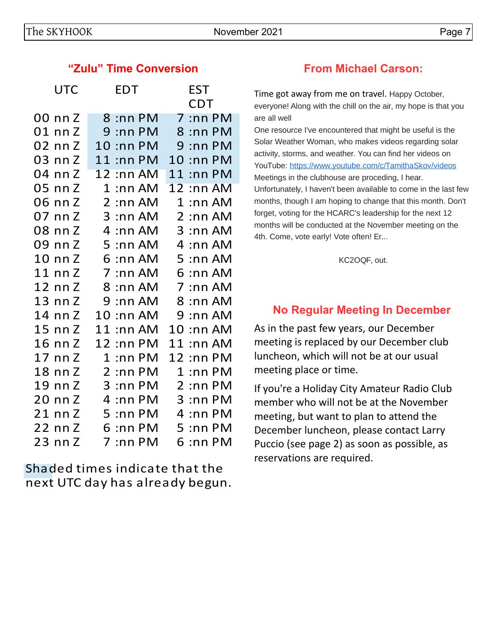## **"Zulu" Time Conversion From Michael Carson:**

| <b>UTC</b> | <b>EDT</b>                  | EST             |  |  |  |
|------------|-----------------------------|-----------------|--|--|--|
|            |                             | CDT             |  |  |  |
| 00 nn Z    | 8 :nn PM                    | $7:$ nn PM      |  |  |  |
| 01 nn Z    | $9:$ nn PM                  | 8 :nn PM        |  |  |  |
| 02 nn Z    | 10 :nn PM                   | 9<br>$:$ nn PM  |  |  |  |
| 03 nn Z    | 11<br>$:$ nn PM             | 10<br>$:$ nn PM |  |  |  |
| 04 nn Z    | 12 :nn AM                   | $11:$ nn P $M$  |  |  |  |
| 05 nn Z    | $1:$ nn AM                  | $12:$ nn AM     |  |  |  |
| 06 nn Z    | $2:$ nn AM                  | $1:$ nn AM      |  |  |  |
| 07 nn Z    | $3:$ nn AM                  | 2:nnAM          |  |  |  |
| 08 nn Z    | 4:nnAM                      | $3:$ nn AM      |  |  |  |
| 09 nn Z    | 5<br>:nn AM                 | 4<br>:nn AM     |  |  |  |
| 10 nn Z    | $6:$ nn AM                  | $5:$ nn AM      |  |  |  |
| 11 nn Z    | 7<br>$:$ nn AM              | $6:$ nn AM      |  |  |  |
| 12 nn Z    | 8 :nn AM                    | 7 :nn AM        |  |  |  |
| 13 nn Z    | $9:$ nn AM                  | 8 :nn AM        |  |  |  |
| 14 nn Z    | $10:$ nn AM                 | $9:$ nn AM      |  |  |  |
| 15 nn Z    | 11<br>$:$ nn AM             | 10 :nn AM       |  |  |  |
| 16 nn Z    | 12 :nn PM                   | 11<br>:nn AM    |  |  |  |
| 17 nn Z    | 1<br>$:$ nn PM              | 12 :nn PM       |  |  |  |
| 18 nn Z    | $\overline{2}$<br>$:$ nn PM | $1:$ nn PM      |  |  |  |
| 19 nn Z    | $3:$ nn PM                  | $2:$ nn PM      |  |  |  |
| 20 nn Z    | 4<br>: $nn$ $PM$            | $3:$ nn PM      |  |  |  |
| 21 nn Z    | 5<br>$:$ nn P $M$           | 4<br>$:$ nn PM  |  |  |  |
| 22 nn Z    | $6:$ nn PM                  | $5:$ nn PM      |  |  |  |
| 23 nn Z    | $:$ nn PM<br>7              | 6 :nn PM        |  |  |  |
|            |                             |                 |  |  |  |

Shaded times indicate that the next UTC day has already begun.

Time got away from me on travel. Happy October, everyone! Along with the chill on the air, my hope is that you are all well

One resource I've encountered that might be useful is the Solar Weather Woman, who makes videos regarding solar activity, storms, and weather. You can find her videos on YouTube: <https://www.youtube.com/c/TamithaSkov/videos> Meetings in the clubhouse are proceding, I hear. Unfortunately, I haven't been available to come in the last few months, though I am hoping to change that this month. Don't forget, voting for the HCARC's leadership for the next 12 months will be conducted at the November meeting on the 4th. Come, vote early! Vote often! Er...

KC2OQF, out.

# **No Regular Meeting In December**

As in the past few years, our December meeting is replaced by our December club luncheon, which will not be at our usual meeting place or time.

If you're a Holiday City Amateur Radio Club member who will not be at the November meeting, but want to plan to attend the December luncheon, please contact Larry Puccio (see page 2) as soon as possible, as reservations are required.